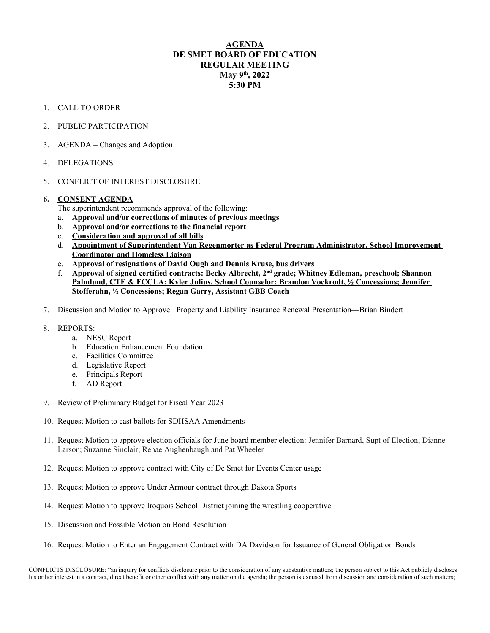## **AGENDA DE SMET BOARD OF EDUCATION REGULAR MEETING May 9th, 2022 5:30 PM**

- 1. CALL TO ORDER
- 2. PUBLIC PARTICIPATION
- 3. AGENDA Changes and Adoption
- 4. DELEGATIONS:
- 5. CONFLICT OF INTEREST DISCLOSURE

## **6. CONSENT AGENDA**

- The superintendent recommends approval of the following:
- a. **Approval and/or corrections of minutes of previous meetings**
- b. **Approval and/or corrections to the financial report**
- c. **Consideration and approval of all bills**
- d. **Appointment of Superintendent Van Regenmorter as Federal Program Administrator, School Improvement Coordinator and Homeless Liaison**
- e. **Approval of resignations of David Ough and Dennis Kruse, bus drivers**
- f. **Approval of signed certified contracts: Becky Albrecht, 2nd grade; Whitney Edleman, preschool; Shannon Palmlund, CTE & FCCLA; Kyler Julius, School Counselor; Brandon Vockrodt, ½ Concessions; Jennifer Stofferahn, ½ Concessions; Regan Garry, Assistant GBB Coach**
- 7. Discussion and Motion to Approve: Property and Liability Insurance Renewal Presentation—Brian Bindert
- 8. REPORTS:
	- a. NESC Report
	- b. Education Enhancement Foundation
	- c. Facilities Committee
	- d. Legislative Report
	- e. Principals Report
	- f. AD Report
- 9. Review of Preliminary Budget for Fiscal Year 2023
- 10. Request Motion to cast ballots for SDHSAA Amendments
- 11. Request Motion to approve election officials for June board member election: Jennifer Barnard, Supt of Election; Dianne Larson; Suzanne Sinclair; Renae Aughenbaugh and Pat Wheeler
- 12. Request Motion to approve contract with City of De Smet for Events Center usage
- 13. Request Motion to approve Under Armour contract through Dakota Sports
- 14. Request Motion to approve Iroquois School District joining the wrestling cooperative
- 15. Discussion and Possible Motion on Bond Resolution
- 16. Request Motion to Enter an Engagement Contract with DA Davidson for Issuance of General Obligation Bonds

CONFLICTS DISCLOSURE: "an inquiry for conflicts disclosure prior to the consideration of any substantive matters; the person subject to this Act publicly discloses his or her interest in a contract, direct benefit or other conflict with any matter on the agenda; the person is excused from discussion and consideration of such matters;